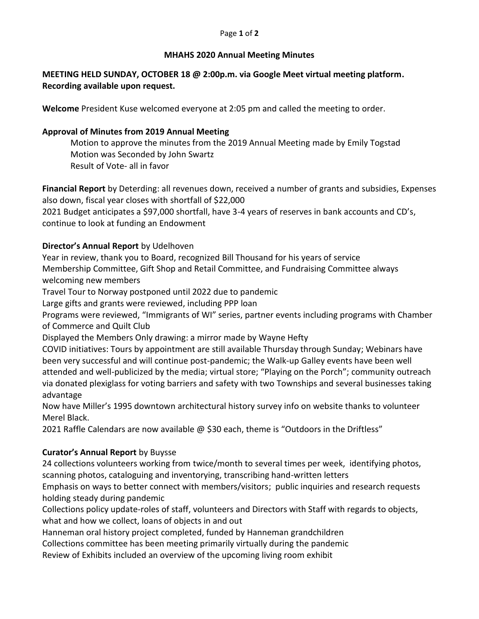#### Page **1** of **2**

#### **MHAHS 2020 Annual Meeting Minutes**

### **MEETING HELD SUNDAY, OCTOBER 18 @ 2:00p.m. via Google Meet virtual meeting platform. Recording available upon request.**

**Welcome** President Kuse welcomed everyone at 2:05 pm and called the meeting to order.

### **Approval of Minutes from 2019 Annual Meeting**

Motion to approve the minutes from the 2019 Annual Meeting made by Emily Togstad Motion was Seconded by John Swartz Result of Vote- all in favor

**Financial Report** by Deterding: all revenues down, received a number of grants and subsidies, Expenses also down, fiscal year closes with shortfall of \$22,000

2021 Budget anticipates a \$97,000 shortfall, have 3-4 years of reserves in bank accounts and CD's, continue to look at funding an Endowment

## **Director's Annual Report** by Udelhoven

Year in review, thank you to Board, recognized Bill Thousand for his years of service Membership Committee, Gift Shop and Retail Committee, and Fundraising Committee always welcoming new members

Travel Tour to Norway postponed until 2022 due to pandemic

Large gifts and grants were reviewed, including PPP loan

Programs were reviewed, "Immigrants of WI" series, partner events including programs with Chamber of Commerce and Quilt Club

Displayed the Members Only drawing: a mirror made by Wayne Hefty

COVID initiatives: Tours by appointment are still available Thursday through Sunday; Webinars have been very successful and will continue post-pandemic; the Walk-up Galley events have been well attended and well-publicized by the media; virtual store; "Playing on the Porch"; community outreach via donated plexiglass for voting barriers and safety with two Townships and several businesses taking advantage

Now have Miller's 1995 downtown architectural history survey info on website thanks to volunteer Merel Black.

2021 Raffle Calendars are now available @ \$30 each, theme is "Outdoors in the Driftless"

# **Curator's Annual Report** by Buysse

24 collections volunteers working from twice/month to several times per week, identifying photos, scanning photos, cataloguing and inventorying, transcribing hand-written letters

Emphasis on ways to better connect with members/visitors; public inquiries and research requests holding steady during pandemic

Collections policy update-roles of staff, volunteers and Directors with Staff with regards to objects, what and how we collect, loans of objects in and out

Hanneman oral history project completed, funded by Hanneman grandchildren

Collections committee has been meeting primarily virtually during the pandemic

Review of Exhibits included an overview of the upcoming living room exhibit